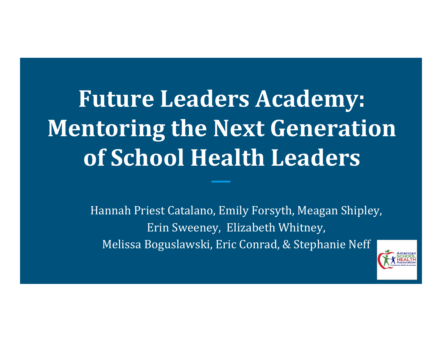# **Future Leaders Academy: Mentoring the Next Generation of School Health Leaders**

Hannah Priest Catalano, Emily Forsyth, Meagan Shipley, Erin Sweeney, Elizabeth Whitney, Melissa Boguslawski, Eric Conrad, & Stephanie Neff

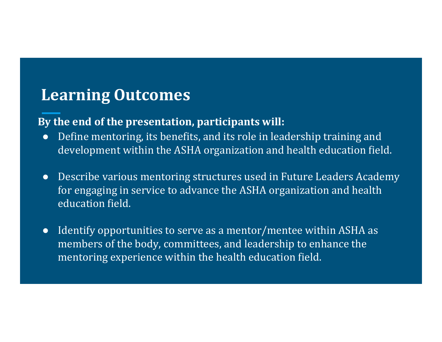### **Learning Outcomes**

#### **By the end of the presentation, participants will:**

- ●Define mentoring, its benefits, and its role in leadership training and development within the ASHA organization and health education field.
- Describe various mentoring structures used in Future Leaders Academy for engaging in service to advance the ASHA organization and health education field.
- Identify opportunities to serve as a mentor/mentee within ASHA as members of the body, committees, and leadership to enhance the mentoring experience within the health education field.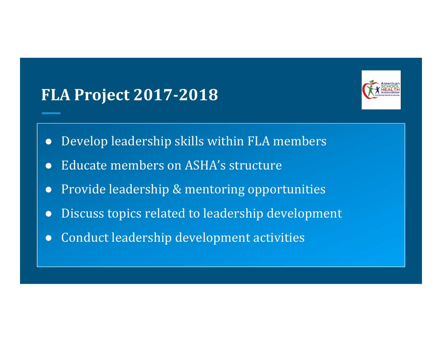# **FLA Project 2017‐2018**



- $\bullet$ Develop leadership skills within FLA members
- ●Educate members on ASHA's structure
- $\bullet$ Provide leadership & mentoring opportunities
- ●Discuss topics related to leadership development
- $\bullet$ Conduct leadership development activities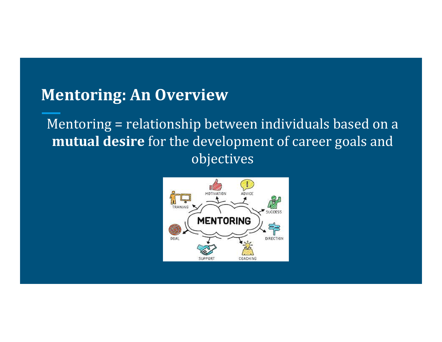### **Mentoring: An Overview**

Mentoring = relationship between individuals based on a **mutual desire** for the development of career goals and objectives 

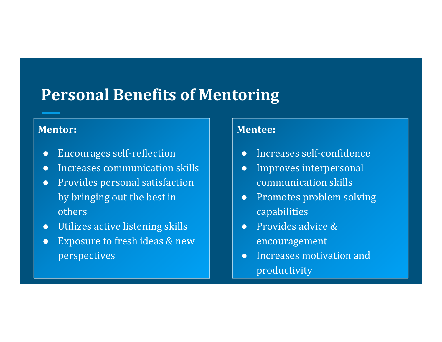# **Personal Benefits of Mentoring**

#### **Mentor:**

- $\bullet$ Encourages self‐reflection
- ●Increases communication skills
- Provides personal satisfaction by bringing out the best in others
- Utilizes active listening skills
- $\bullet$ Exposure to fresh ideas & new perspectives

#### **Mentee:**

- $\bullet$ Increases self-confidence
- $\bullet$ Improves interpersonal communication skills
- ●**Promotes problem solving** capabilities
- $\bullet$ Provides advice & encouragement
- $\bullet$ Increases motivation and productivity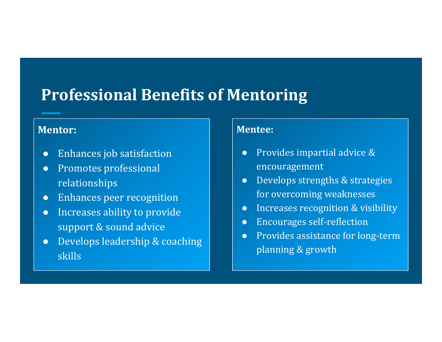# **Professional Benefits of Mentoring**

#### **Mentor:**

- $\bullet$ Enhances job satisfaction
- ●Promotes professional relationships
- ●Enhances peer recognition
- ●Increases ability to provide support & sound advice
- ●Develops leadership & coaching skills

#### **Mentee:**

- $\bullet$ Provides impartial advice & encouragement
- $\bullet$ Develops strengths & strategies for overcoming weaknesses
- $\bullet$ Increases recognition & visibility
- ●Encourages self‐reflection
- $\bullet$ Provides assistance for long-term planning & growth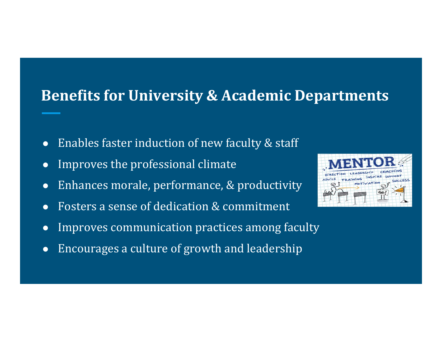#### **Benefits for University & Academic Departments**

- ●Enables faster induction of new faculty  $&$  staff
- $\bullet$ Improves the professional climate
- $\bullet$ Enhances morale, performance, & productivity
- ●Fosters a sense of dedication & commitment
- ●Improves communication practices among faculty
- $\bullet$ Encourages a culture of growth and leadership

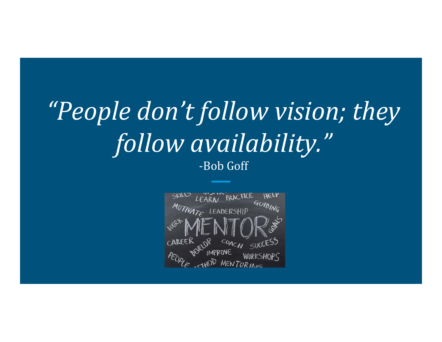# *"People don't follow vision; they follow availability."* ‐Bob Goff

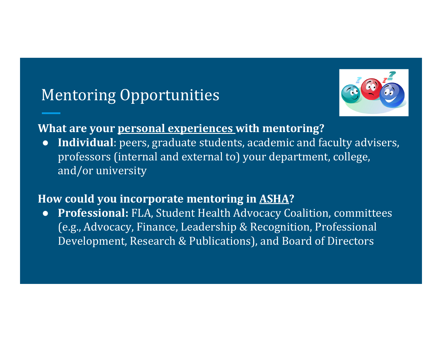# Mentoring Opportunities



#### **What are your personal experiences with mentoring?**

●**Individual**: peers, graduate students, academic and faculty advisers, professors (internal and external to) your department, college, and/or university

#### **How could you incorporate mentoring in ASHA?**

●**Professional:** FLA, Student Health Advocacy Coalition, committees (e.g., Advocacy, Finance, Leadership & Recognition, Professional Development, Research & Publications), and Board of Directors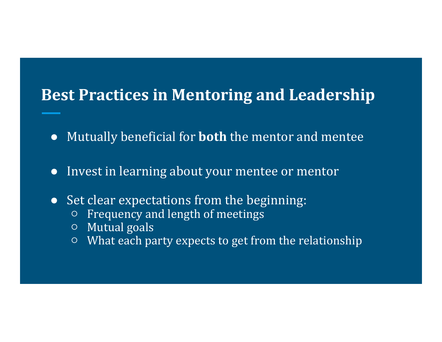# **Best Practices in Mentoring and Leadership**

- ●Mutually beneficial for **both** the mentor and mentee
- ●Invest in learning about your mentee or mentor
- Set clear expectations from the beginning:
	- $\circ$  Frequency and length of meetings
	- $\circ$   $\,$  Mutual goals
	- $\circ$  What each party expects to get from the relationship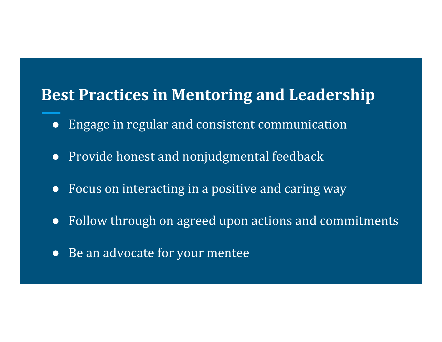# **Best Practices in Mentoring and Leadership**

- Engage in regular and consistent communication
- Provide honest and nonjudgmental feedback
- Focus on interacting in a positive and caring way
- Follow through on agreed upon actions and commitments
- Be an advocate for your mentee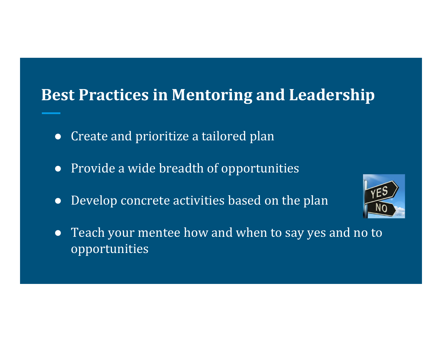# **Best Practices in Mentoring and Leadership**

- ●Create and prioritize a tailored plan
- Provide a wide breadth of opportunities
- Develop concrete activities based on the plan



• Teach your mentee how and when to say yes and no to opportunities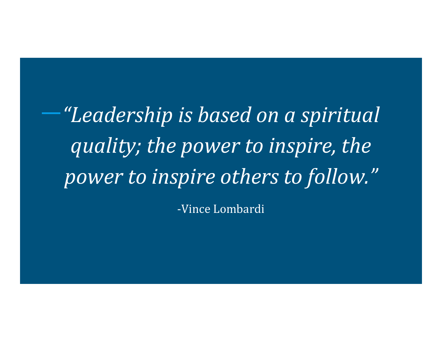*"Leadership is based on <sup>a</sup> spiritual quality; the power to inspire, the power to inspire others to follow."*

‐Vince Lombardi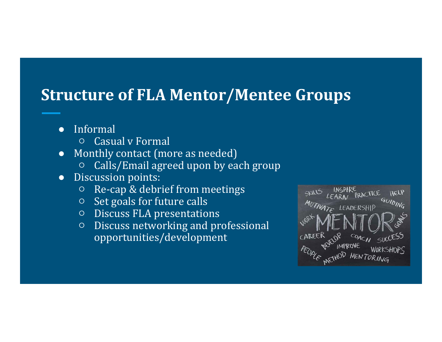## **Structure of FLA Mentor/Mentee Groups**

- $\bullet$  Informal
	- Casual v Formal
- $\bullet$ Monthly contact (more as needed)
	- ○Calls/Email agreed upon by each group
- ●Discussion points:
	- $\circ$ Re-cap & debrief from meetings
	- $\circ$   $\,$  Set goals for future calls
	- $\circ$   $\,$  Discuss FLA presentations
	- $\circ$  Discuss networking and professional opportunities/development

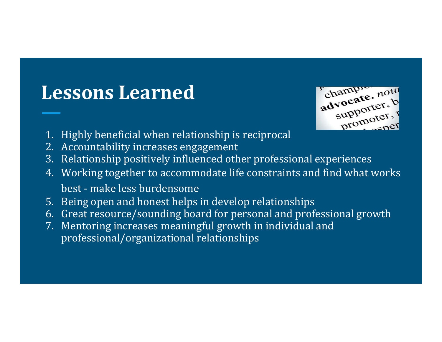# **Lessons Learned**



- 1. Highly beneficial when relationship is reciprocal
- 2. Accountability increases engagement
- 3. Relationship positively influenced other professional experiences
- 4. Working together to accommodate life constraints and find what works best - make less burdensome
- 5. Being open and honest helps in develop relationships
- 6. Great resource/sounding board for personal and professional growth
- 7. Mentoring increases meaningful growth in individual and professional/organizational relationships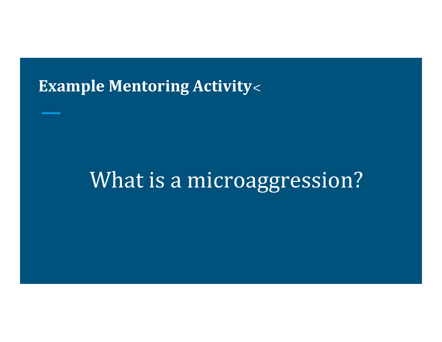### **Example Mentoring Activity** :

# What is a microaggression?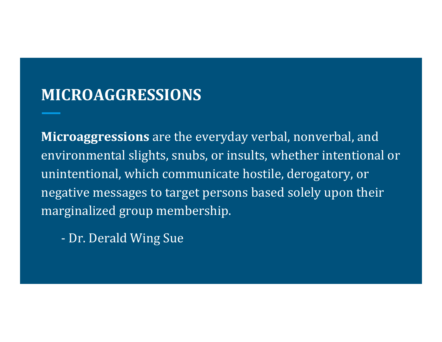## **MICROAGGRESSIONS**

**Microaggressions** are the everyday verbal, nonverbal, and environmental slights, snubs, or insults, whether intentional or unintentional, which communicate hostile, derogatory, or negative messages to target persons based solely upon their marginalized group membership.

Dr. Derald Wing Sue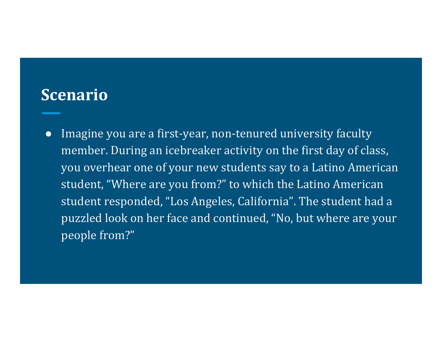#### **Scenario**

●Imagine you are a first-year, non-tenured university faculty member. During an icebreaker activity on the first day of class, you overhear one of your new students say to a Latino American student, "Where are you from?" to which the Latino American student responded, "Los Angeles, California". The student had a puzzled look on her face and continued, "No, but where are your people from?"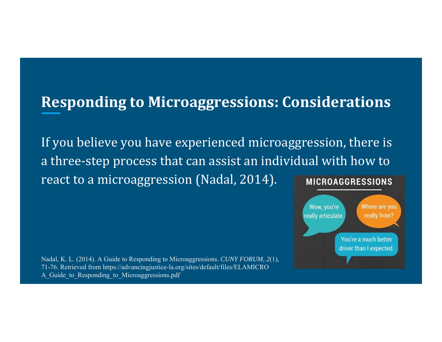### **Responding to Microaggressions: Considerations**

If you believe you have experienced microaggression, there is a three-step process that can assist an individual with how to react to a microaggression (Nadal, 2014). **MICROAGGRESSIONS** 



Nadal, K. L. (2014). A Guide to Responding to Microaggressions. *CUNY FORUM, 2*(1), 71-76. Retrieved from https://advancingjustice-la.org/sites/default/files/ELAMICRO A Guide to Responding to Microaggressions.pdf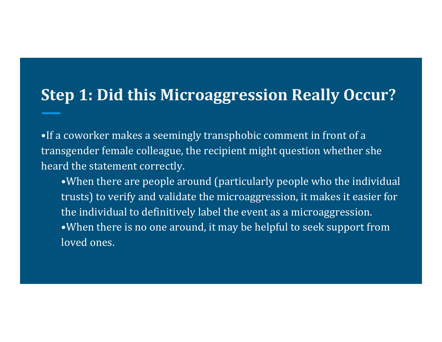## **Step 1: Did this Microaggression Really Occur?**

•If a coworker makes a seemingly transphobic comment in front of a transgender female colleague, the recipient might question whether she heard the statement correctly.

•When there are people around (particularly people who the individual trusts) to verify and validate the microaggression, it makes it easier for the individual to definitively label the event as a microaggression. •When there is no one around, it may be helpful to seek support from loved ones.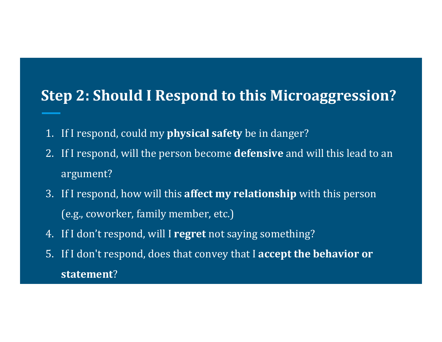### **Step 2: Should I Respond to this Microaggression?**

- 1. If I respond, could my **physical safety** be in danger?
- 2. If I respond, will the person become **defensive** and will this lead to an argument?
- 3. If I respond, how will this **affect my relationship** with this person (e.g., coworker, family member, etc.)
- 4. If I don't respond, will I regret not saying something?
- 5. If I don't respond, does that convey that I **accept the behavior or statement**?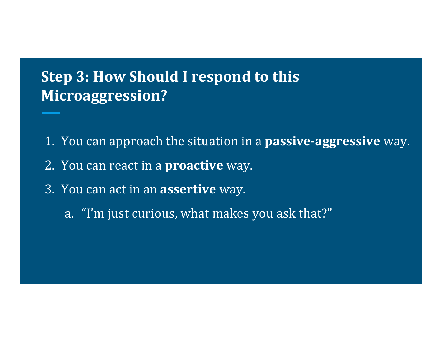## **Step 3: How Should I respond to this Microaggression?**

- 1. You can approach the situation in a **passive-aggressive** way.
- 2. You can react in a **proactive** way.
- 3. You can act in an **assertive** way.
	- a. "I'm just curious, what makes you ask that?"